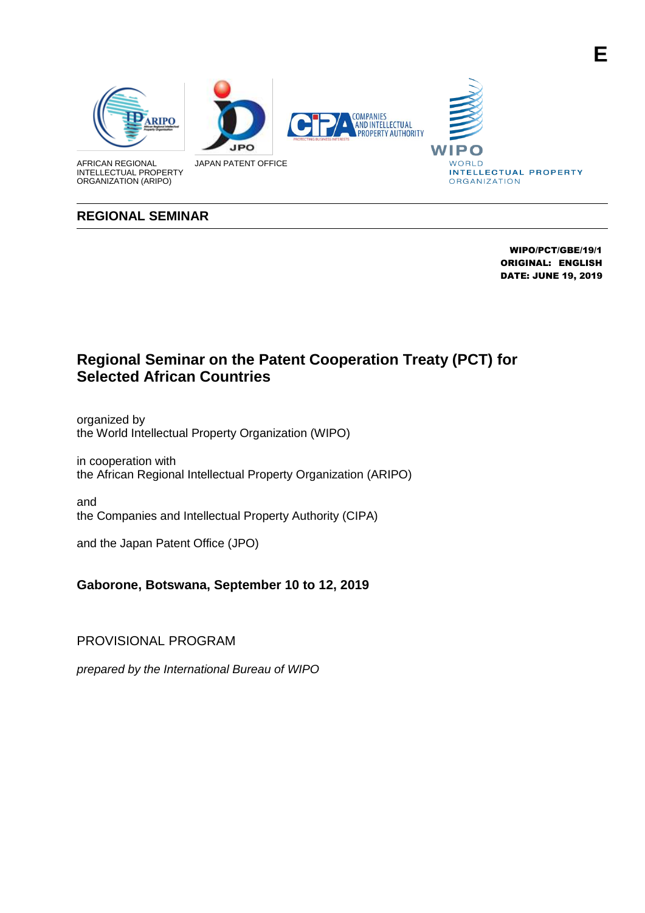

#### **REGIONAL SEMINAR**

 WIPO/PCT/GBE/19/1 ORIGINAL: ENGLISH DATE: JUNE 19, 2019

**E**

# **Regional Seminar on the Patent Cooperation Treaty (PCT) for Selected African Countries**

organized by the World Intellectual Property Organization (WIPO)

in cooperation with the African Regional Intellectual Property Organization (ARIPO)

and the Companies and Intellectual Property Authority (CIPA)

and the Japan Patent Office (JPO)

### **Gaborone, Botswana, September 10 to 12, 2019**

PROVISIONAL PROGRAM

*prepared by the International Bureau of WIPO*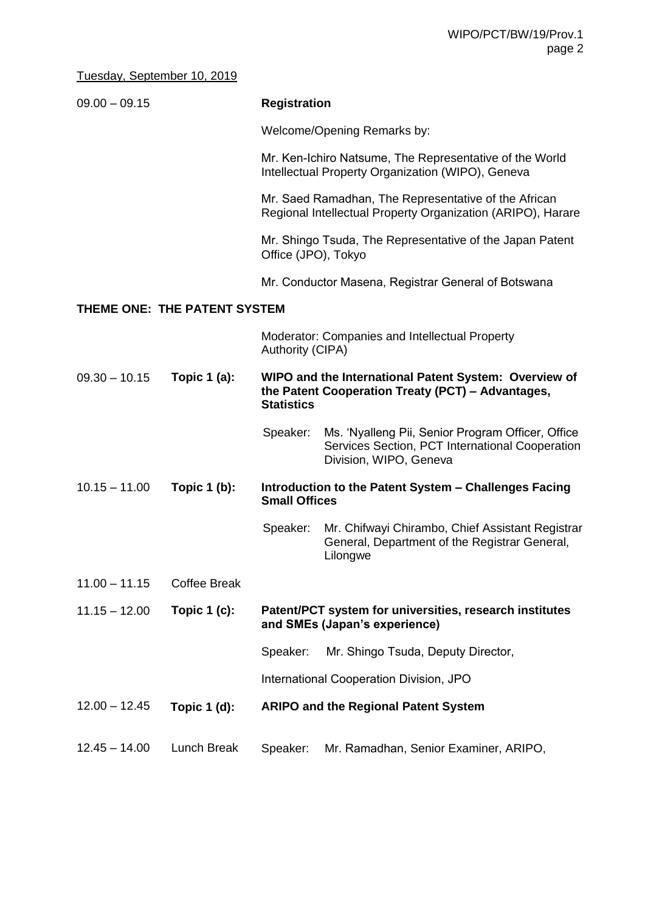## Tuesday, September 10, 2019

| $09.00 - 09.15$              |                     | <b>Registration</b>                                                                                                             |                                                                                                                                |  |  |
|------------------------------|---------------------|---------------------------------------------------------------------------------------------------------------------------------|--------------------------------------------------------------------------------------------------------------------------------|--|--|
|                              |                     |                                                                                                                                 | Welcome/Opening Remarks by:                                                                                                    |  |  |
|                              |                     |                                                                                                                                 | Mr. Ken-Ichiro Natsume, The Representative of the World<br>Intellectual Property Organization (WIPO), Geneva                   |  |  |
|                              |                     |                                                                                                                                 | Mr. Saed Ramadhan, The Representative of the African<br>Regional Intellectual Property Organization (ARIPO), Harare            |  |  |
|                              |                     | Office (JPO), Tokyo                                                                                                             | Mr. Shingo Tsuda, The Representative of the Japan Patent                                                                       |  |  |
|                              |                     |                                                                                                                                 | Mr. Conductor Masena, Registrar General of Botswana                                                                            |  |  |
| THEME ONE: THE PATENT SYSTEM |                     |                                                                                                                                 |                                                                                                                                |  |  |
|                              |                     | <b>Authority (CIPA)</b>                                                                                                         | <b>Moderator: Companies and Intellectual Property</b>                                                                          |  |  |
| $09.30 - 10.15$              | Topic $1$ (a):      | WIPO and the International Patent System: Overview of<br>the Patent Cooperation Treaty (PCT) - Advantages,<br><b>Statistics</b> |                                                                                                                                |  |  |
|                              |                     | Speaker:                                                                                                                        | Ms. 'Nyalleng Pii, Senior Program Officer, Office<br>Services Section, PCT International Cooperation<br>Division, WIPO, Geneva |  |  |
| $10.15 - 11.00$              | Topic $1(b)$ :      | Introduction to the Patent System - Challenges Facing<br><b>Small Offices</b>                                                   |                                                                                                                                |  |  |
|                              |                     | Speaker:                                                                                                                        | Mr. Chifwayi Chirambo, Chief Assistant Registrar<br>General, Department of the Registrar General,<br>Lilongwe                  |  |  |
| $11.00 - 11.15$              | <b>Coffee Break</b> |                                                                                                                                 |                                                                                                                                |  |  |
| $11.15 - 12.00$              | Topic $1(c)$ :      | Patent/PCT system for universities, research institutes<br>and SMEs (Japan's experience)                                        |                                                                                                                                |  |  |
|                              |                     | Speaker:                                                                                                                        | Mr. Shingo Tsuda, Deputy Director,                                                                                             |  |  |
|                              |                     |                                                                                                                                 | International Cooperation Division, JPO                                                                                        |  |  |
| $12.00 - 12.45$              | Topic $1$ (d):      |                                                                                                                                 | <b>ARIPO and the Regional Patent System</b>                                                                                    |  |  |
| $12.45 - 14.00$              | Lunch Break         | Speaker:                                                                                                                        | Mr. Ramadhan, Senior Examiner, ARIPO,                                                                                          |  |  |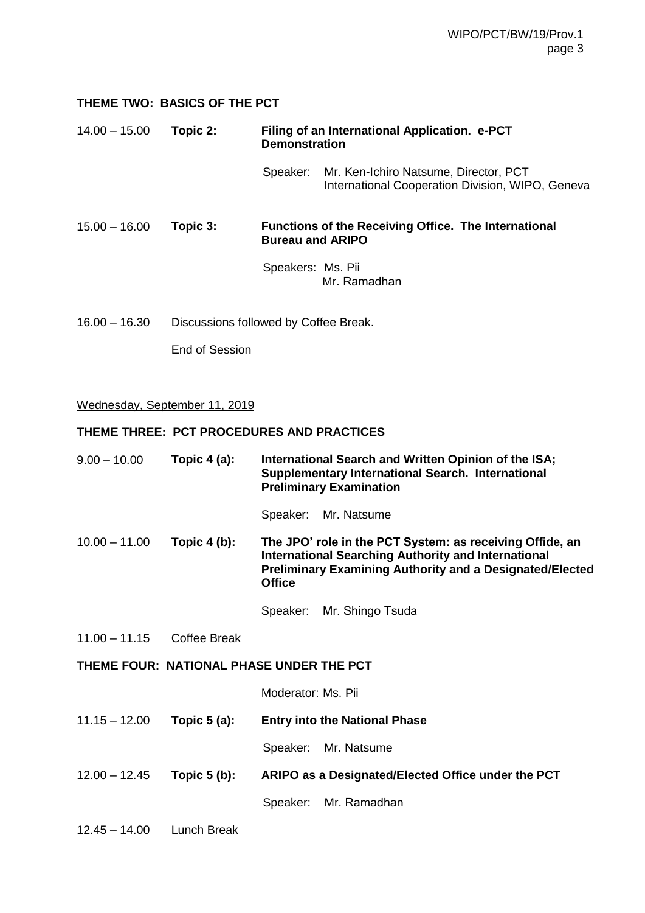#### **THEME TWO: BASICS OF THE PCT**

#### 14.00 – 15.00 **Topic 2: Filing of an International Application. e-PCT Demonstration**

Speaker: Mr. Ken-Ichiro Natsume, Director, PCT International Cooperation Division, WIPO, Geneva

15.00 – 16.00 **Topic 3: Functions of the Receiving Office. The International Bureau and ARIPO**

> Speakers: Ms. Pii Mr. Ramadhan

16.00 – 16.30 Discussions followed by Coffee Break.

End of Session

#### Wednesday, September 11, 2019

#### **THEME THREE: PCT PROCEDURES AND PRACTICES**

| $9.00 - 10.00$                           | Topic $4$ (a):      | International Search and Written Opinion of the ISA;<br><b>Supplementary International Search. International</b><br><b>Preliminary Examination</b>                                                         |  |  |  |
|------------------------------------------|---------------------|------------------------------------------------------------------------------------------------------------------------------------------------------------------------------------------------------------|--|--|--|
|                                          |                     | Speaker: Mr. Natsume                                                                                                                                                                                       |  |  |  |
| $10.00 - 11.00$                          | Topic $4(b)$ :      | The JPO' role in the PCT System: as receiving Offide, an<br><b>International Searching Authority and International</b><br><b>Preliminary Examining Authority and a Designated/Elected</b><br><b>Office</b> |  |  |  |
|                                          |                     | Speaker: Mr. Shingo Tsuda                                                                                                                                                                                  |  |  |  |
| $11.00 - 11.15$                          | <b>Coffee Break</b> |                                                                                                                                                                                                            |  |  |  |
| THEME FOUR: NATIONAL PHASE UNDER THE PCT |                     |                                                                                                                                                                                                            |  |  |  |
|                                          |                     | Moderator: Ms. Pii                                                                                                                                                                                         |  |  |  |
| $11.15 - 12.00$                          | Topic $5(a)$ :      | <b>Entry into the National Phase</b>                                                                                                                                                                       |  |  |  |
|                                          |                     | Speaker: Mr. Natsume                                                                                                                                                                                       |  |  |  |
| $12.00 - 12.45$                          | Topic $5(b)$ :      | ARIPO as a Designated/Elected Office under the PCT                                                                                                                                                         |  |  |  |
|                                          |                     | Speaker: Mr. Ramadhan                                                                                                                                                                                      |  |  |  |
| $12.45 - 14.00$                          | Lunch Break         |                                                                                                                                                                                                            |  |  |  |